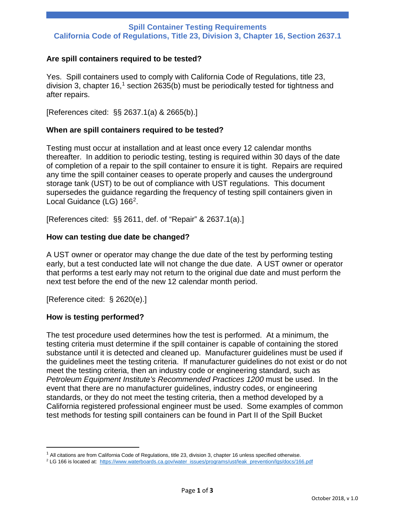# **Spill Container Testing Requirements California Code of Regulations, Title 23, Division 3, Chapter 16, Section 2637.1**

## **Are spill containers required to be tested?**

Yes. Spill containers used to comply with California Code of Regulations, title 23, division 3, chapter [1](#page-0-0)6,<sup>1</sup> section 2635(b) must be periodically tested for tightness and after repairs.

[References cited: §§ 2637.1(a) & 2665(b).]

### **When are spill containers required to be tested?**

Testing must occur at installation and at least once every 12 calendar months thereafter. In addition to periodic testing, testing is required within 30 days of the date of completion of a repair to the spill container to ensure it is tight. Repairs are required any time the spill container ceases to operate properly and causes the underground storage tank (UST) to be out of compliance with UST regulations. This document supersedes the guidance regarding the frequency of testing spill containers given in Local Guidance (LG) 166<sup>2</sup>.

[References cited: §§ 2611, def. of "Repair" & 2637.1(a).]

### **How can testing due date be changed?**

A UST owner or operator may change the due date of the test by performing testing early, but a test conducted late will not change the due date. A UST owner or operator that performs a test early may not return to the original due date and must perform the next test before the end of the new 12 calendar month period.

[Reference cited: § 2620(e).]

### **How is testing performed?**

 $\overline{a}$ 

The test procedure used determines how the test is performed. At a minimum, the testing criteria must determine if the spill container is capable of containing the stored substance until it is detected and cleaned up. Manufacturer guidelines must be used if the guidelines meet the testing criteria. If manufacturer guidelines do not exist or do not meet the testing criteria, then an industry code or engineering standard, such as *Petroleum Equipment Institute's Recommended Practices 1200* must be used. In the event that there are no manufacturer guidelines, industry codes, or engineering standards, or they do not meet the testing criteria, then a method developed by a California registered professional engineer must be used. Some examples of common test methods for testing spill containers can be found in Part II of the Spill Bucket

<span id="page-0-0"></span> $1$  All citations are from California Code of Regulations, title 23, division 3, chapter 16 unless specified otherwise.

<span id="page-0-1"></span><sup>&</sup>lt;sup>2</sup> LG 166 is located at: [https://www.waterboards.ca.gov/water\\_issues/programs/ust/leak\\_prevention/lgs/docs/166.pdf](https://www.waterboards.ca.gov/water_issues/programs/ust/leak_prevention/lgs/docs/166.pdf)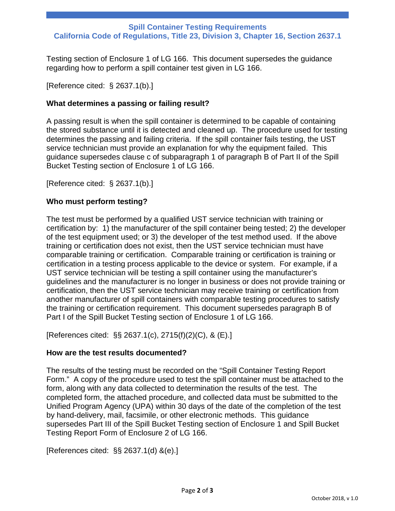# **Spill Container Testing Requirements California Code of Regulations, Title 23, Division 3, Chapter 16, Section 2637.1**

Testing section of Enclosure 1 of LG 166. This document supersedes the guidance regarding how to perform a spill container test given in LG 166.

[Reference cited: § 2637.1(b).]

## **What determines a passing or failing result?**

A passing result is when the spill container is determined to be capable of containing the stored substance until it is detected and cleaned up. The procedure used for testing determines the passing and failing criteria. If the spill container fails testing, the UST service technician must provide an explanation for why the equipment failed. This guidance supersedes clause c of subparagraph 1 of paragraph B of Part II of the Spill Bucket Testing section of Enclosure 1 of LG 166.

[Reference cited: § 2637.1(b).]

### **Who must perform testing?**

The test must be performed by a qualified UST service technician with training or certification by: 1) the manufacturer of the spill container being tested; 2) the developer of the test equipment used; or 3) the developer of the test method used. If the above training or certification does not exist, then the UST service technician must have comparable training or certification. Comparable training or certification is training or certification in a testing process applicable to the device or system. For example, if a UST service technician will be testing a spill container using the manufacturer's guidelines and the manufacturer is no longer in business or does not provide training or certification, then the UST service technician may receive training or certification from another manufacturer of spill containers with comparable testing procedures to satisfy the training or certification requirement. This document supersedes paragraph B of Part I of the Spill Bucket Testing section of Enclosure 1 of LG 166.

[References cited: §§ 2637.1(c), 2715(f)(2)(C), & (E).]

### **How are the test results documented?**

The results of the testing must be recorded on the "Spill Container Testing Report Form." A copy of the procedure used to test the spill container must be attached to the form, along with any data collected to determination the results of the test. The completed form, the attached procedure, and collected data must be submitted to the Unified Program Agency (UPA) within 30 days of the date of the completion of the test by hand-delivery, mail, facsimile, or other electronic methods. This guidance supersedes Part III of the Spill Bucket Testing section of Enclosure 1 and Spill Bucket Testing Report Form of Enclosure 2 of LG 166.

[References cited: §§ 2637.1(d) &(e).]